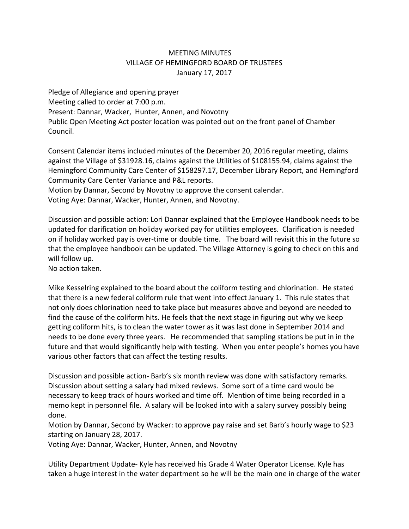## MEETING MINUTES VILLAGE OF HEMINGFORD BOARD OF TRUSTEES January 17, 2017

Pledge of Allegiance and opening prayer Meeting called to order at 7:00 p.m. Present: Dannar, Wacker, Hunter, Annen, and Novotny Public Open Meeting Act poster location was pointed out on the front panel of Chamber Council.

Consent Calendar items included minutes of the December 20, 2016 regular meeting, claims against the Village of \$31928.16, claims against the Utilities of \$108155.94, claims against the Hemingford Community Care Center of \$158297.17, December Library Report, and Hemingford Community Care Center Variance and P&L reports.

Motion by Dannar, Second by Novotny to approve the consent calendar. Voting Aye: Dannar, Wacker, Hunter, Annen, and Novotny.

Discussion and possible action: Lori Dannar explained that the Employee Handbook needs to be updated for clarification on holiday worked pay for utilities employees. Clarification is needed on if holiday worked pay is over-time or double time. The board will revisit this in the future so that the employee handbook can be updated. The Village Attorney is going to check on this and will follow up.

No action taken.

Mike Kesselring explained to the board about the coliform testing and chlorination. He stated that there is a new federal coliform rule that went into effect January 1. This rule states that not only does chlorination need to take place but measures above and beyond are needed to find the cause of the coliform hits. He feels that the next stage in figuring out why we keep getting coliform hits, is to clean the water tower as it was last done in September 2014 and needs to be done every three years. He recommended that sampling stations be put in in the future and that would significantly help with testing. When you enter people's homes you have various other factors that can affect the testing results.

Discussion and possible action‐ Barb's six month review was done with satisfactory remarks. Discussion about setting a salary had mixed reviews. Some sort of a time card would be necessary to keep track of hours worked and time off. Mention of time being recorded in a memo kept in personnel file. A salary will be looked into with a salary survey possibly being done.

Motion by Dannar, Second by Wacker: to approve pay raise and set Barb's hourly wage to \$23 starting on January 28, 2017.

Voting Aye: Dannar, Wacker, Hunter, Annen, and Novotny

Utility Department Update‐ Kyle has received his Grade 4 Water Operator License. Kyle has taken a huge interest in the water department so he will be the main one in charge of the water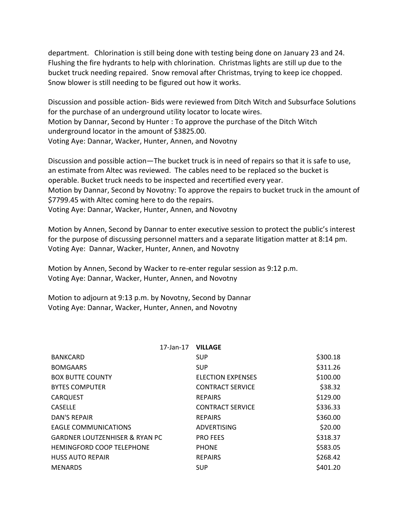department. Chlorination is still being done with testing being done on January 23 and 24. Flushing the fire hydrants to help with chlorination. Christmas lights are still up due to the bucket truck needing repaired. Snow removal after Christmas, trying to keep ice chopped. Snow blower is still needing to be figured out how it works.

Discussion and possible action‐ Bids were reviewed from Ditch Witch and Subsurface Solutions for the purchase of an underground utility locator to locate wires. Motion by Dannar, Second by Hunter : To approve the purchase of the Ditch Witch underground locator in the amount of \$3825.00. Voting Aye: Dannar, Wacker, Hunter, Annen, and Novotny

Discussion and possible action—The bucket truck is in need of repairs so that it is safe to use, an estimate from Altec was reviewed. The cables need to be replaced so the bucket is operable. Bucket truck needs to be inspected and recertified every year. Motion by Dannar, Second by Novotny: To approve the repairs to bucket truck in the amount of \$7799.45 with Altec coming here to do the repairs. Voting Aye: Dannar, Wacker, Hunter, Annen, and Novotny

Motion by Annen, Second by Dannar to enter executive session to protect the public's interest for the purpose of discussing personnel matters and a separate litigation matter at 8:14 pm. Voting Aye: Dannar, Wacker, Hunter, Annen, and Novotny

Motion by Annen, Second by Wacker to re-enter regular session as 9:12 p.m. Voting Aye: Dannar, Wacker, Hunter, Annen, and Novotny

Motion to adjourn at 9:13 p.m. by Novotny, Second by Dannar Voting Aye: Dannar, Wacker, Hunter, Annen, and Novotny

| 17-Jan-17 VILLAGE                         |                          |          |
|-------------------------------------------|--------------------------|----------|
| <b>BANKCARD</b>                           | <b>SUP</b>               | \$300.18 |
| <b>BOMGAARS</b>                           | <b>SUP</b>               | \$311.26 |
| <b>BOX BUTTE COUNTY</b>                   | <b>ELECTION EXPENSES</b> | \$100.00 |
| <b>BYTES COMPUTER</b>                     | <b>CONTRACT SERVICE</b>  | \$38.32  |
| <b>CARQUEST</b>                           | <b>REPAIRS</b>           | \$129.00 |
| <b>CASELLE</b>                            | <b>CONTRACT SERVICE</b>  | \$336.33 |
| <b>DAN'S REPAIR</b>                       | <b>REPAIRS</b>           | \$360.00 |
| <b>EAGLE COMMUNICATIONS</b>               | <b>ADVERTISING</b>       | \$20.00  |
| <b>GARDNER LOUTZENHISER &amp; RYAN PC</b> | <b>PRO FEES</b>          | \$318.37 |
| <b>HEMINGFORD COOP TELEPHONE</b>          | <b>PHONE</b>             | \$583.05 |
| <b>HUSS AUTO REPAIR</b>                   | <b>REPAIRS</b>           | \$268.42 |
| <b>MENARDS</b>                            | <b>SUP</b>               | \$401.20 |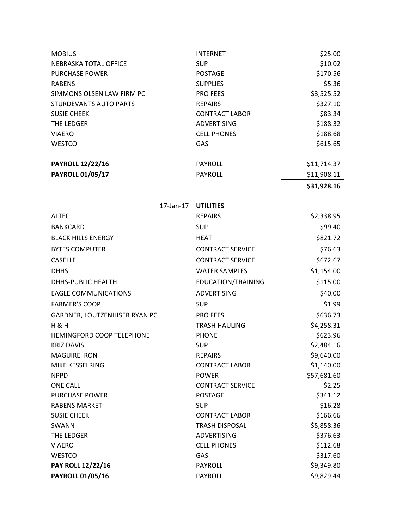| <b>MOBIUS</b>                 | <b>INTERNET</b>       | \$25.00     |
|-------------------------------|-----------------------|-------------|
| NEBRASKA TOTAL OFFICE         | <b>SUP</b>            | \$10.02     |
| <b>PURCHASE POWER</b>         | <b>POSTAGE</b>        | \$170.56    |
| <b>RABENS</b>                 | <b>SUPPLIES</b>       | \$5.36      |
| SIMMONS OLSEN LAW FIRM PC     | <b>PRO FEES</b>       | \$3,525.52  |
| <b>STURDEVANTS AUTO PARTS</b> | <b>REPAIRS</b>        | \$327.10    |
| <b>SUSIE CHEEK</b>            | <b>CONTRACT LABOR</b> | \$83.34     |
| THE LEDGER                    | <b>ADVERTISING</b>    | \$188.32    |
| <b>VIAERO</b>                 | <b>CELL PHONES</b>    | \$188.68    |
| <b>WESTCO</b>                 | <b>GAS</b>            | \$615.65    |
| <b>PAYROLL 12/22/16</b>       | <b>PAYROLL</b>        | \$11,714.37 |
| <b>PAYROLL 01/05/17</b>       | <b>PAYROLL</b>        | \$11,908.11 |
|                               |                       | \$31,928.16 |

| 17-Jan-17                     | <b>UTILITIES</b>        |             |
|-------------------------------|-------------------------|-------------|
| <b>ALTEC</b>                  | <b>REPAIRS</b>          | \$2,338.95  |
| <b>BANKCARD</b>               | <b>SUP</b>              | \$99.40     |
| <b>BLACK HILLS ENERGY</b>     | <b>HEAT</b>             | \$821.72    |
| <b>BYTES COMPUTER</b>         | <b>CONTRACT SERVICE</b> | \$76.63     |
| <b>CASELLE</b>                | <b>CONTRACT SERVICE</b> | \$672.67    |
| <b>DHHS</b>                   | <b>WATER SAMPLES</b>    | \$1,154.00  |
| DHHS-PUBLIC HEALTH            | EDUCATION/TRAINING      | \$115.00    |
| <b>EAGLE COMMUNICATIONS</b>   | <b>ADVERTISING</b>      | \$40.00     |
| <b>FARMER'S COOP</b>          | <b>SUP</b>              | \$1.99      |
| GARDNER, LOUTZENHISER RYAN PC | <b>PRO FEES</b>         | \$636.73    |
| $H$ & $H$                     | <b>TRASH HAULING</b>    | \$4,258.31  |
| HEMINGFORD COOP TELEPHONE     | <b>PHONE</b>            | \$623.96    |
| <b>KRIZ DAVIS</b>             | <b>SUP</b>              | \$2,484.16  |
| <b>MAGUIRE IRON</b>           | <b>REPAIRS</b>          | \$9,640.00  |
| MIKE KESSELRING               | <b>CONTRACT LABOR</b>   | \$1,140.00  |
| <b>NPPD</b>                   | <b>POWER</b>            | \$57,681.60 |
| <b>ONE CALL</b>               | <b>CONTRACT SERVICE</b> | \$2.25      |
| <b>PURCHASE POWER</b>         | <b>POSTAGE</b>          | \$341.12    |
| <b>RABENS MARKET</b>          | <b>SUP</b>              | \$16.28     |
| <b>SUSIE CHEEK</b>            | <b>CONTRACT LABOR</b>   | \$166.66    |
| SWANN                         | <b>TRASH DISPOSAL</b>   | \$5,858.36  |
| THE LEDGER                    | <b>ADVERTISING</b>      | \$376.63    |
| <b>VIAERO</b>                 | <b>CELL PHONES</b>      | \$112.68    |
| <b>WESTCO</b>                 | GAS                     | \$317.60    |
| <b>PAY ROLL 12/22/16</b>      | <b>PAYROLL</b>          | \$9,349.80  |
| <b>PAYROLL 01/05/16</b>       | <b>PAYROLL</b>          | \$9,829.44  |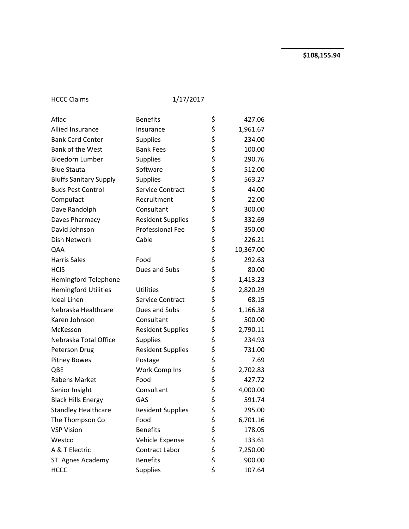HCCC Claims 1/17/2017

| Aflac                         | <b>Benefits</b>          | \$       | 427.06    |
|-------------------------------|--------------------------|----------|-----------|
| Allied Insurance              | Insurance                |          | 1,961.67  |
| <b>Bank Card Center</b>       | Supplies                 | \$<br>\$ | 234.00    |
| Bank of the West              | <b>Bank Fees</b>         | \$       | 100.00    |
| <b>Bloedorn Lumber</b>        | <b>Supplies</b>          | \$       | 290.76    |
| <b>Blue Stauta</b>            | Software                 | \$       | 512.00    |
| <b>Bluffs Sanitary Supply</b> | Supplies                 | \$       | 563.27    |
| <b>Buds Pest Control</b>      | Service Contract         | \$       | 44.00     |
| Compufact                     | Recruitment              | \$       | 22.00     |
| Dave Randolph                 | Consultant               | \$       | 300.00    |
| Daves Pharmacy                | <b>Resident Supplies</b> | \$       | 332.69    |
| David Johnson                 | <b>Professional Fee</b>  | \$       | 350.00    |
| Dish Network                  | Cable                    | \$       | 226.21    |
| QAA                           |                          | \$       | 10,367.00 |
| <b>Harris Sales</b>           | Food                     | \$       | 292.63    |
| <b>HCIS</b>                   | Dues and Subs            | \$       | 80.00     |
| <b>Hemingford Telephone</b>   |                          | \$       | 1,413.23  |
| <b>Hemingford Utilities</b>   | <b>Utilities</b>         | \$       | 2,820.29  |
| <b>Ideal Linen</b>            | Service Contract         | \$       | 68.15     |
| Nebraska Healthcare           | Dues and Subs            | \$       | 1,166.38  |
| Karen Johnson                 | Consultant               | \$       | 500.00    |
| McKesson                      | <b>Resident Supplies</b> | \$       | 2,790.11  |
| Nebraska Total Office         | <b>Supplies</b>          | \$       | 234.93    |
| Peterson Drug                 | <b>Resident Supplies</b> | \$       | 731.00    |
| <b>Pitney Bowes</b>           | Postage                  | \$       | 7.69      |
| QBE                           | Work Comp Ins            | \$       | 2,702.83  |
| Rabens Market                 | Food                     | \$       | 427.72    |
| Senior Insight                | Consultant               | \$       | 4,000.00  |
| <b>Black Hills Energy</b>     | GAS                      | \$       | 591.74    |
| <b>Standley Healthcare</b>    | <b>Resident Supplies</b> | \$       | 295.00    |
| The Thompson Co               | Food                     |          | 6,701.16  |
| <b>VSP Vision</b>             | <b>Benefits</b>          |          | 178.05    |
| Westco                        | Vehicle Expense          |          | 133.61    |
| A & T Electric                | Contract Labor           | ちちちち     | 7,250.00  |
| ST. Agnes Academy             | <b>Benefits</b>          |          | 900.00    |
| <b>HCCC</b>                   | <b>Supplies</b>          | \$       | 107.64    |